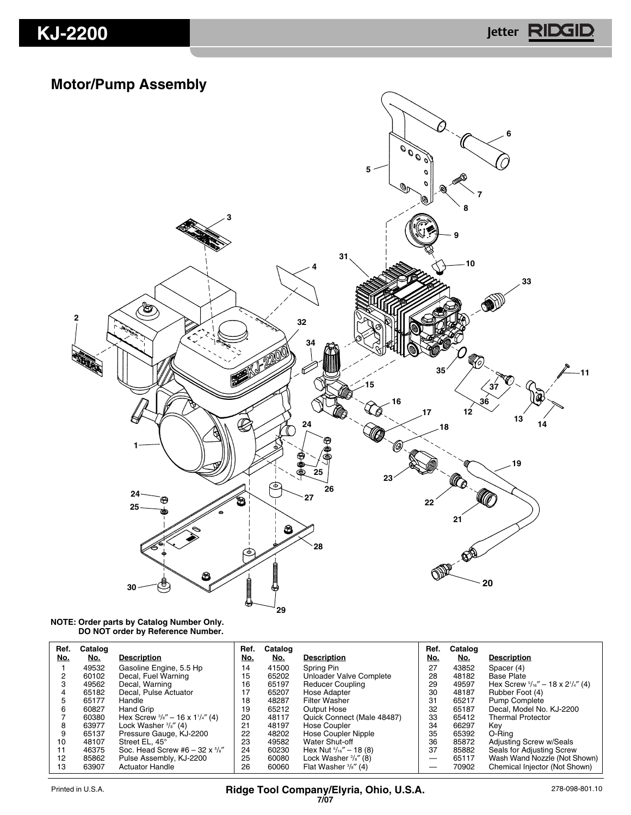## **KJ-2200 Jetter**

## **Motor/Pump Assembly**



#### **NOTE: Order parts by Catalog Number Only. DO NOT order by Reference Number.**

| Ref.<br>No. | Catalog<br>No. | <b>Description</b>                                     | Ref.<br>No. | Catalog<br>No. | <b>Description</b>                | Ref.<br>No. | Catalog<br><u>No.</u> | <b>Description</b>                           |
|-------------|----------------|--------------------------------------------------------|-------------|----------------|-----------------------------------|-------------|-----------------------|----------------------------------------------|
|             |                |                                                        |             |                |                                   |             |                       |                                              |
|             | 49532          | Gasoline Engine, 5.5 Hp                                | 14          | 41500          | Spring Pin                        | 27          | 43852                 | Spacer (4)                                   |
| 2           | 60102          | Decal, Fuel Warning                                    | 15          | 65202          | Unloader Valve Complete           | 28          | 48182                 | <b>Base Plate</b>                            |
| 3           | 49562          | Decal, Warning                                         | 16          | 65197          | <b>Reducer Coupling</b>           | 29          | 49597                 | Hex Screw $5/16'' - 18 \times 2^{1/4''}$ (4) |
| 4           | 65182          | Decal, Pulse Actuator                                  | 17          | 65207          | Hose Adapter                      | 30          | 48187                 | Rubber Foot (4)                              |
| 5           | 65177          | Handle                                                 | 18          | 48287          | <b>Filter Washer</b>              | 31          | 65217                 | Pump Complete                                |
| 6           | 60827          | Hand Grip                                              | 19          | 65212          | Output Hose                       | 32          | 65187                 | Decal, Model No. KJ-2200                     |
|             | 60380          | Hex Screw $\frac{3}{8}$ " - 16 x 1 $\frac{1}{4}$ " (4) | 20          | 48117          | Quick Connect (Male 48487)        | 33          | 65412                 | <b>Thermal Protector</b>                     |
| 8           | 63977          | Lock Washer $\frac{3}{8}$ " (4)                        | 21          | 48197          | Hose Coupler                      | 34          | 66297                 | Kev                                          |
| 9           | 65137          | Pressure Gauge, KJ-2200                                | 22          | 48202          | Hose Coupler Nipple               | 35          | 65392                 | O-Ring                                       |
| 10          | 48107          | Street EL. 45°                                         | 23          | 49582          | Water Shut-off                    | 36          | 85872                 | Adjusting Screw w/Seals                      |
| 11          | 46375          | Soc. Head Screw #6 $-$ 32 x $\frac{5}{8}$ "            | 24          | 60230          | Hex Nut $\frac{5}{16}$ " - 18 (8) | 37          | 85882                 | Seals for Adjusting Screw                    |
| 12          | 85862          | Pulse Assembly, KJ-2200                                | 25          | 60080          | Lock Washer $\frac{3}{8}$ " (8)   |             | 65117                 | Wash Wand Nozzle (Not Shown)                 |
| 13          | 63907          | <b>Actuator Handle</b>                                 | 26          | 60060          | Flat Washer $\frac{3}{8}$ " (4)   |             | 70902                 | Chemical Injector (Not Shown)                |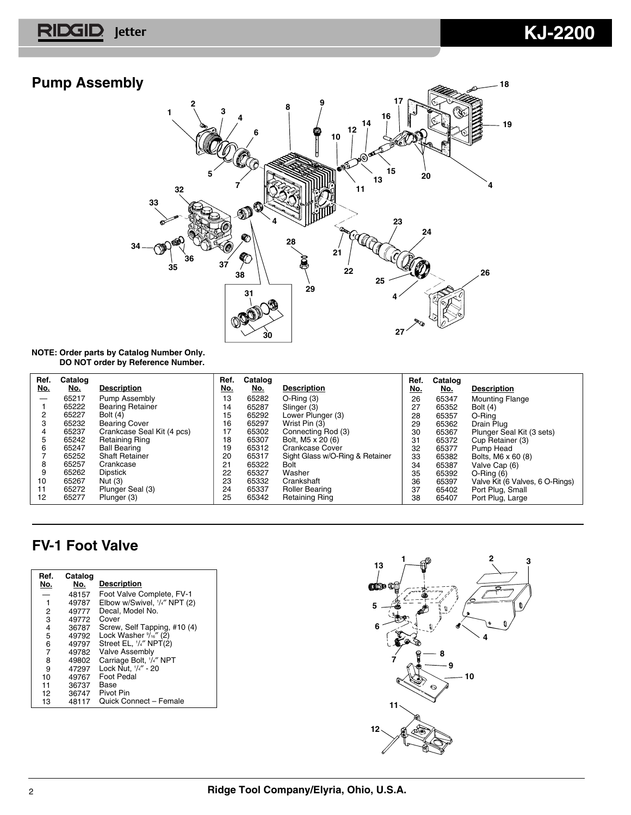## **Pump Assembly**



### **NOTE: Order parts by Catalog Number Only. DO NOT order by Reference Number.**

| Ref.       | Catalog |                            | Ref.       | Catalog    |                                 | Ref. | Catalog    |                                 |
|------------|---------|----------------------------|------------|------------|---------------------------------|------|------------|---------------------------------|
| <u>No.</u> | No.     | <b>Description</b>         | <u>No.</u> | <u>No.</u> | <b>Description</b>              | No.  | <u>No.</u> | <b>Description</b>              |
|            | 65217   | Pump Assembly              | 13         | 65282      | $O-Ring(3)$                     | 26   | 65347      | <b>Mounting Flange</b>          |
|            | 65222   | <b>Bearing Retainer</b>    | 14         | 65287      | Slinger (3)                     | 27   | 65352      | Bolt $(4)$                      |
|            | 65227   | <b>Bolt</b> (4)            | 15         | 65292      | Lower Plunger (3)               | 28   | 65357      | O-Rina                          |
| з          | 65232   | <b>Bearing Cover</b>       | 16         | 65297      | Wrist Pin (3)                   | 29   | 65362      | Drain Plug                      |
| 4          | 65237   | Crankcase Seal Kit (4 pcs) | 17         | 65302      | Connecting Rod (3)              | 30   | 65367      | Plunger Seal Kit (3 sets)       |
| 5          | 65242   | <b>Retaining Ring</b>      | 18         | 65307      | Bolt, M5 x 20 (6)               | 31   | 65372      | Cup Retainer (3)                |
| 6          | 65247   | <b>Ball Bearing</b>        | 19         | 65312      | Crankcase Cover                 | 32   | 65377      | Pump Head                       |
|            | 65252   | <b>Shaft Retainer</b>      | 20         | 65317      | Sight Glass w/O-Ring & Retainer | 33   | 65382      | Bolts, M6 x 60 (8)              |
| 8          | 65257   | Crankcase                  | 21         | 65322      | <b>Bolt</b>                     | 34   | 65387      | Valve Cap (6)                   |
| 9          | 65262   | <b>Dipstick</b>            | 22         | 65327      | Washer                          | 35   | 65392      | $O-Ring(6)$                     |
| 10         | 65267   | Nut (3)                    | 23         | 65332      | Crankshaft                      | 36   | 65397      | Valve Kit (6 Valves, 6 O-Rings) |
| 11         | 65272   | Plunger Seal (3)           | 24         | 65337      | <b>Roller Bearing</b>           | 37   | 65402      | Port Plug, Small                |
| 12         | 65277   | Plunger (3)                | 25         | 65342      | <b>Retaining Ring</b>           | 38   | 65407      | Port Plug, Large                |

## **FV-1 Foot Valve**

| Ref.<br>No. | Catalog<br>No. | <b>Description</b>             |
|-------------|----------------|--------------------------------|
|             | 48157          | Foot Valve Complete, FV-1      |
| 1           | 49787          | Elbow w/Swivel, 1/4" NPT (2)   |
| 2           | 49777          | Decal, Model No.               |
| 3           | 49772          | Cover                          |
| 4           | 36787          | Screw, Self Tapping, #10 (4)   |
| 5           | 49792          | Lock Washer $\frac{9}{16}$ (2) |
| 6           | 49797          | Street EL, '/4" NPT(2)         |
| 7           | 49782          | <b>Valve Assembly</b>          |
| 8           | 49802          | Carriage Bolt, 1/4" NPT        |
| 9           | 47297          | Lock Nut, 1/4" - 20            |
| 10          | 49767          | Foot Pedal                     |
| 11          | 36737          | Base                           |
| 12          | 36747          | Pivot Pin                      |
| 13          | 48117          | Quick Connect - Female         |

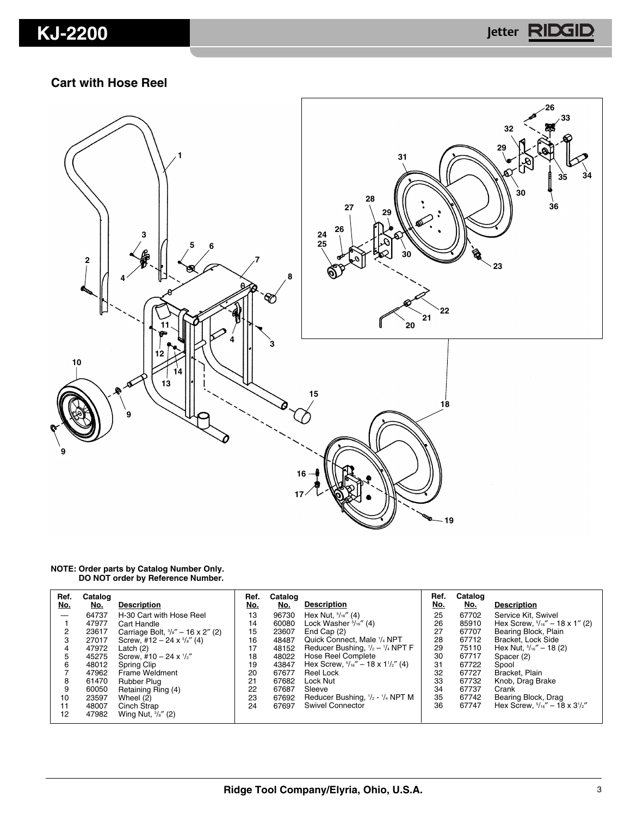# **KJ-2200 Jetter**

### **Cart with Hose Reel**



#### **NOTE: Order parts by Catalog Number Only. DO NOT order by Reference Number.**

| Ref. | Catalog |                                              | Ref. | Catalog |                                                          | Ref. | Catalog |                                           |
|------|---------|----------------------------------------------|------|---------|----------------------------------------------------------|------|---------|-------------------------------------------|
| No.  | No.     | <b>Description</b>                           | No.  | No.     | <b>Description</b>                                       | No.  | No.     | <b>Description</b>                        |
|      | 64737   | H-30 Cart with Hose Reel                     | 13   | 96730   | Hex Nut, $\frac{5}{16}$ (4)                              | 25   | 67702   | Service Kit, Swivel                       |
|      | 47977   | Cart Handle                                  | 14   | 60080   | Lock Washer $\frac{5}{16}$ " (4)                         | 26   | 85910   | Hex Screw, $\frac{5}{16}$ " - 18 x 1" (2) |
|      | 23617   | Carriage Bolt, $\frac{3}{8}$ " - 16 x 2" (2) | 15   | 23607   | End Cap $(2)$                                            | 27   | 67707   | Bearing Block, Plain                      |
| з    | 27017   | Screw, #12 - 24 x $\frac{5}{8}$ " (4)        | 16   | 48487   | Quick Connect, Male 1/4 NPT                              | 28   | 67712   | Bracket, Lock Side                        |
| 4    | 47972   | Latch (2)                                    | 17   | 48152   | Reducer Bushing, $1/2 - 1/4$ NPT F                       | 29   | 75110   | Hex Nut, $\frac{5}{16}$ – 18 (2)          |
| 5    | 45275   | Screw, #10 - 24 x $\frac{1}{2}$ "            | 18   | 48022   | Hose Reel Complete                                       | 30   | 67717   | Spacer (2)                                |
| 6    | 48012   | Spring Clip                                  | 19   | 43847   | Hex Screw, $\frac{5}{16}$ " - 18 x 1 $\frac{1}{2}$ " (4) | 31   | 67722   | Spool                                     |
|      | 47962   | Frame Weldment                               | 20   | 67677   | Reel Lock                                                | 32   | 67727   | Bracket, Plain                            |
| 8    | 61470   | Rubber Plug                                  | 21   | 67682   | Lock Nut                                                 | 33   | 67732   | Knob, Drag Brake                          |
| 9    | 60050   | Retaining Ring (4)                           | 22   | 67687   | Sleeve                                                   | 34   | 67737   | Crank                                     |
| 10   | 23597   | Wheel $(2)$                                  | 23   | 67692   | Reducer Bushing, $1/2 - 1/4$ NPT M                       | 35   | 67742   | Bearing Block, Drag                       |
| 11   | 48007   | Cinch Strap                                  | 24   | 67697   | <b>Swivel Connector</b>                                  | 36   | 67747   | Hex Screw. $5/16'' - 18 \times 3^{1/2''}$ |
| 12   | 47982   | Wing Nut, $\frac{3}{8}$ " (2)                |      |         |                                                          |      |         |                                           |